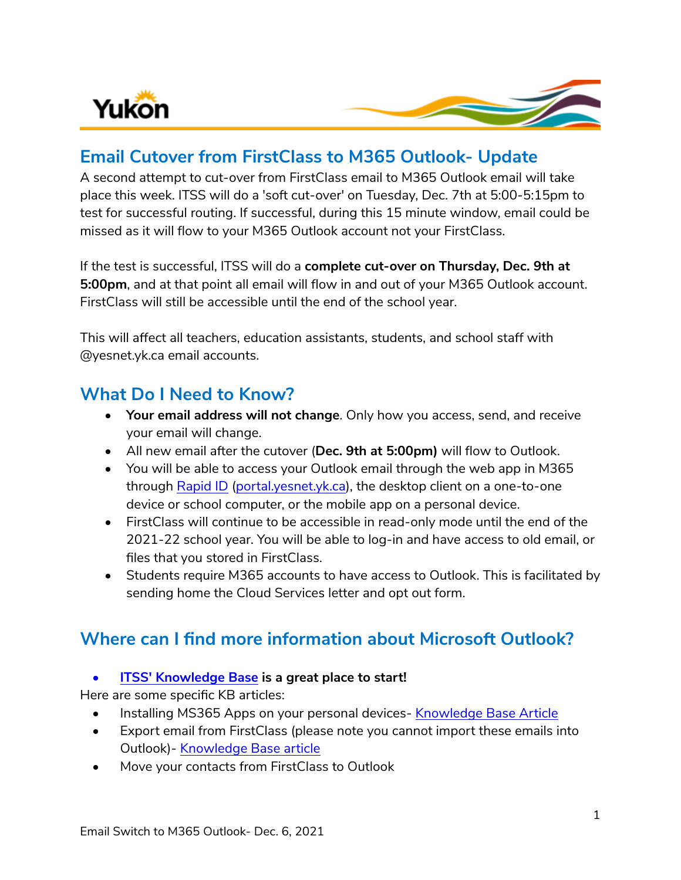

# **Email Cutover from FirstClass to M365 Outlook- Update**

A second attempt to cut-over from FirstClass email to M365 Outlook email will take place this week. ITSS will do a 'soft cut-over' on Tuesday, Dec. 7th at 5:00-5:15pm to test for successful routing. If successful, during this 15 minute window, email could be missed as it will flow to your M365 Outlook account not your FirstClass.

If the test is successful, ITSS will do a **complete cut-over on Thursday, Dec. 9th at 5:00pm**, and at that point all email will flow in and out of your M365 Outlook account. FirstClass will still be accessible until the end of the school year.

This will affect all teachers, education assistants, students, and school staff with @yesnet.yk.ca email accounts.

## **What Do I Need to Know?**

- **Your email address will not change**. Only how you access, send, and receive your email will change.
- All new email after the cutover (**Dec. 9th at 5:00pm)** will flow to Outlook.
- You will be able to access your Outlook email through the web app in M365 through [Rapid ID](https://portal.yesnet.yk.ca/) [\(portal.yesnet.yk.ca\)](https://portal.yesnet.yk.ca/), the desktop client on a one-to-one device or school computer, or the mobile app on a personal device.
- FirstClass will continue to be accessible in read-only mode until the end of the 2021-22 school year. You will be able to log-in and have access to old email, or files that you stored in FirstClass.
- Students require M365 accounts to have access to Outlook. This is facilitated by sending home the Cloud Services letter and opt out form.

# **Where can I find more information about Microsoft Outlook?**

### **• [ITSS' Knowledge Base](https://yukonedu.service-now.com/help?id=cf_home) is a great place to start!**

Here are some specific KB articles:

- Installing MS365 Apps on your personal devices- [Knowledge Base Article](https://yukonedu.service-now.com/help?id=cf_kb_article&sys_id=dcb56a74db7f8850129bd6fa4b961903&table=kb_knowledge)
- Export email from FirstClass (please note you cannot import these emails into Outlook)- [Knowledge Base article](https://yukonedu.service-now.com/help?id=cf_kb_article&sys_id=6b238794dbdb301090891120399619d4&table=kb_knowledge)
- Move your contacts from FirstClass to Outlook